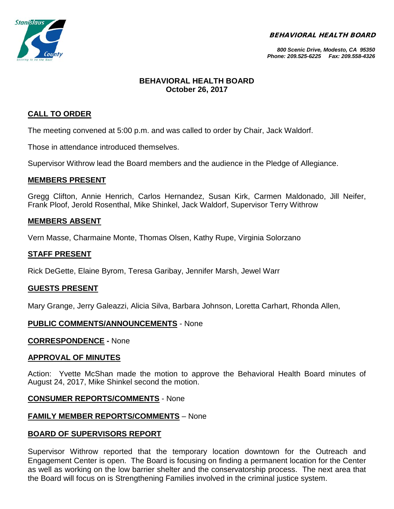BEHAVIORAL HEALTH BOARD



#### *800 Scenic Drive, Modesto, CA 95350 Phone: 209.525-6225 Fax: 209.558-4326*

## **BEHAVIORAL HEALTH BOARD October 26, 2017**

# **CALL TO ORDER**

The meeting convened at 5:00 p.m. and was called to order by Chair, Jack Waldorf.

Those in attendance introduced themselves.

Supervisor Withrow lead the Board members and the audience in the Pledge of Allegiance.

## **MEMBERS PRESENT**

Gregg Clifton, Annie Henrich, Carlos Hernandez, Susan Kirk, Carmen Maldonado, Jill Neifer, Frank Ploof, Jerold Rosenthal, Mike Shinkel, Jack Waldorf, Supervisor Terry Withrow

### **MEMBERS ABSENT**

Vern Masse, Charmaine Monte, Thomas Olsen, Kathy Rupe, Virginia Solorzano

### **STAFF PRESENT**

Rick DeGette, Elaine Byrom, Teresa Garibay, Jennifer Marsh, Jewel Warr

#### **GUESTS PRESENT**

Mary Grange, Jerry Galeazzi, Alicia Silva, Barbara Johnson, Loretta Carhart, Rhonda Allen,

#### **PUBLIC COMMENTS/ANNOUNCEMENTS** - None

#### **CORRESPONDENCE -** None

#### **APPROVAL OF MINUTES**

Action: Yvette McShan made the motion to approve the Behavioral Health Board minutes of August 24, 2017, Mike Shinkel second the motion.

#### **CONSUMER REPORTS/COMMENTS** - None

## **FAMILY MEMBER REPORTS/COMMENTS** – None

## **BOARD OF SUPERVISORS REPORT**

Supervisor Withrow reported that the temporary location downtown for the Outreach and Engagement Center is open. The Board is focusing on finding a permanent location for the Center as well as working on the low barrier shelter and the conservatorship process. The next area that the Board will focus on is Strengthening Families involved in the criminal justice system.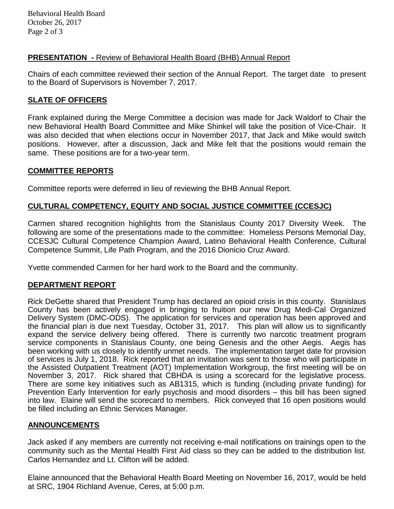# **PRESENTATION -** Review of Behavioral Health Board (BHB) Annual Report

Chairs of each committee reviewed their section of the Annual Report. The target date to present to the Board of Supervisors is November 7, 2017.

# **SLATE OF OFFICERS**

Frank explained during the Merge Committee a decision was made for Jack Waldorf to Chair the new Behavioral Health Board Committee and Mike Shinkel will take the position of Vice-Chair. It was also decided that when elections occur in November 2017, that Jack and Mike would switch positions. However, after a discussion, Jack and Mike felt that the positions would remain the same. These positions are for a two-year term.

## **COMMITTEE REPORTS**

Committee reports were deferred in lieu of reviewing the BHB Annual Report.

# **CULTURAL COMPETENCY, EQUITY AND SOCIAL JUSTICE COMMITTEE (CCESJC)**

Carmen shared recognition highlights from the Stanislaus County 2017 Diversity Week. The following are some of the presentations made to the committee: Homeless Persons Memorial Day, CCESJC Cultural Competence Champion Award, Latino Behavioral Health Conference, Cultural Competence Summit, Life Path Program, and the 2016 Dionicio Cruz Award.

Yvette commended Carmen for her hard work to the Board and the community.

## **DEPARTMENT REPORT**

Rick DeGette shared that President Trump has declared an opioid crisis in this county. Stanislaus County has been actively engaged in bringing to fruition our new Drug Medi-Cal Organized Delivery System (DMC-ODS). The application for services and operation has been approved and the financial plan is due next Tuesday, October 31, 2017. This plan will allow us to significantly expand the service delivery being offered. There is currently two narcotic treatment program service components in Stanislaus County, one being Genesis and the other Aegis. Aegis has been working with us closely to identify unmet needs. The implementation target date for provision of services is July 1, 2018. Rick reported that an invitation was sent to those who will participate in the Assisted Outpatient Treatment (AOT) Implementation Workgroup, the first meeting will be on November 3, 2017. Rick shared that CBHDA is using a scorecard for the legislative process. There are some key initiatives such as AB1315, which is funding (including private funding) for Prevention Early Intervention for early psychosis and mood disorders – this bill has been signed into law. Elaine will send the scorecard to members. Rick conveyed that 16 open positions would be filled including an Ethnic Services Manager.

## **ANNOUNCEMENTS**

Jack asked if any members are currently not receiving e-mail notifications on trainings open to the community such as the Mental Health First Aid class so they can be added to the distribution list. Carlos Hernandez and Lt. Clifton will be added.

Elaine announced that the Behavioral Health Board Meeting on November 16, 2017, would be held at SRC, 1904 Richland Avenue, Ceres, at 5:00 p.m.